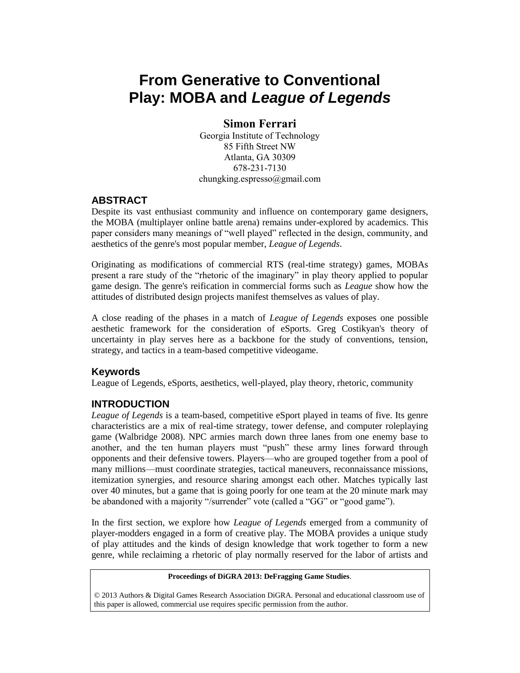# **From Generative to Conventional Play: MOBA and** *League of Legends*

# **Simon Ferrari**

Georgia Institute of Technology 85 Fifth Street NW Atlanta, GA 30309 678-231-7130 chungking.espresso@gmail.com

## **ABSTRACT**

Despite its vast enthusiast community and influence on contemporary game designers, the MOBA (multiplayer online battle arena) remains under-explored by academics. This paper considers many meanings of "well played" reflected in the design, community, and aesthetics of the genre's most popular member, *League of Legends*.

Originating as modifications of commercial RTS (real-time strategy) games, MOBAs present a rare study of the "rhetoric of the imaginary" in play theory applied to popular game design. The genre's reification in commercial forms such as *League* show how the attitudes of distributed design projects manifest themselves as values of play.

A close reading of the phases in a match of *League of Legends* exposes one possible aesthetic framework for the consideration of eSports. Greg Costikyan's theory of uncertainty in play serves here as a backbone for the study of conventions, tension, strategy, and tactics in a team-based competitive videogame.

## **Keywords**

League of Legends, eSports, aesthetics, well-played, play theory, rhetoric, community

## **INTRODUCTION**

*League of Legends* is a team-based, competitive eSport played in teams of five. Its genre characteristics are a mix of real-time strategy, tower defense, and computer roleplaying game (Walbridge 2008). NPC armies march down three lanes from one enemy base to another, and the ten human players must "push" these army lines forward through opponents and their defensive towers. Players—who are grouped together from a pool of many millions—must coordinate strategies, tactical maneuvers, reconnaissance missions, itemization synergies, and resource sharing amongst each other. Matches typically last over 40 minutes, but a game that is going poorly for one team at the 20 minute mark may be abandoned with a majority "/surrender" vote (called a "GG" or "good game").

In the first section, we explore how *League of Legends* emerged from a community of player-modders engaged in a form of creative play. The MOBA provides a unique study of play attitudes and the kinds of design knowledge that work together to form a new genre, while reclaiming a rhetoric of play normally reserved for the labor of artists and

#### **Proceedings of DiGRA 2013: DeFragging Game Studies**.

© 2013 Authors & Digital Games Research Association DiGRA. Personal and educational classroom use of this paper is allowed, commercial use requires specific permission from the author.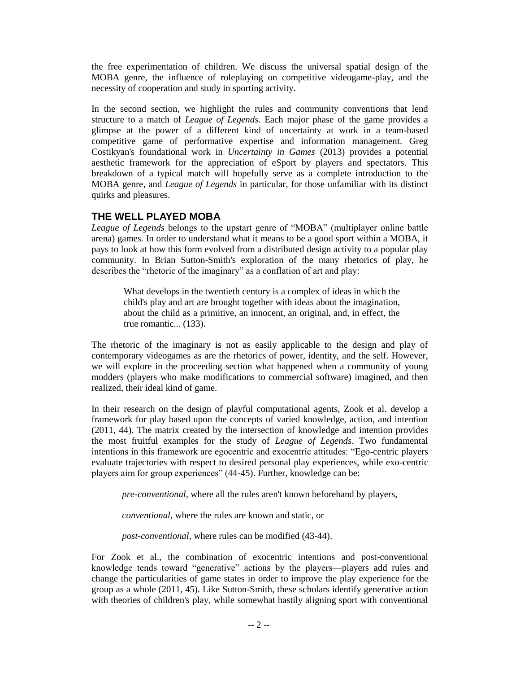the free experimentation of children. We discuss the universal spatial design of the MOBA genre, the influence of roleplaying on competitive videogame-play, and the necessity of cooperation and study in sporting activity.

In the second section, we highlight the rules and community conventions that lend structure to a match of *League of Legends*. Each major phase of the game provides a glimpse at the power of a different kind of uncertainty at work in a team-based competitive game of performative expertise and information management. Greg Costikyan's foundational work in *Uncertainty in Games* (2013) provides a potential aesthetic framework for the appreciation of eSport by players and spectators. This breakdown of a typical match will hopefully serve as a complete introduction to the MOBA genre, and *League of Legends* in particular, for those unfamiliar with its distinct quirks and pleasures.

# **THE WELL PLAYED MOBA**

*League of Legends* belongs to the upstart genre of "MOBA" (multiplayer online battle arena) games. In order to understand what it means to be a good sport within a MOBA, it pays to look at how this form evolved from a distributed design activity to a popular play community. In Brian Sutton-Smith's exploration of the many rhetorics of play, he describes the "rhetoric of the imaginary" as a conflation of art and play:

What develops in the twentieth century is a complex of ideas in which the child's play and art are brought together with ideas about the imagination, about the child as a primitive, an innocent, an original, and, in effect, the true romantic... (133).

The rhetoric of the imaginary is not as easily applicable to the design and play of contemporary videogames as are the rhetorics of power, identity, and the self. However, we will explore in the proceeding section what happened when a community of young modders (players who make modifications to commercial software) imagined, and then realized, their ideal kind of game.

In their research on the design of playful computational agents, Zook et al. develop a framework for play based upon the concepts of varied knowledge, action, and intention (2011, 44). The matrix created by the intersection of knowledge and intention provides the most fruitful examples for the study of *League of Legends*. Two fundamental intentions in this framework are egocentric and exocentric attitudes: "Ego-centric players evaluate trajectories with respect to desired personal play experiences, while exo-centric players aim for group experiences" (44-45). Further, knowledge can be:

*pre-conventional*, where all the rules aren't known beforehand by players,

*conventional*, where the rules are known and static, or

*post-conventional*, where rules can be modified (43-44).

For Zook et al., the combination of exocentric intentions and post-conventional knowledge tends toward "generative" actions by the players—players add rules and change the particularities of game states in order to improve the play experience for the group as a whole (2011, 45). Like Sutton-Smith, these scholars identify generative action with theories of children's play, while somewhat hastily aligning sport with conventional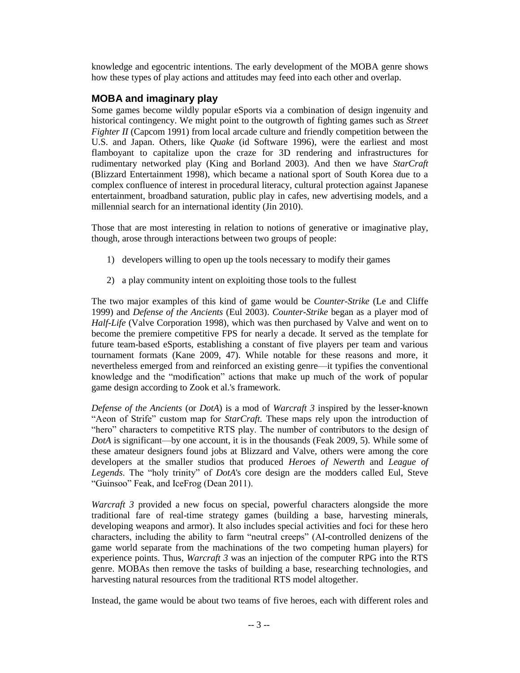knowledge and egocentric intentions. The early development of the MOBA genre shows how these types of play actions and attitudes may feed into each other and overlap.

## **MOBA and imaginary play**

Some games become wildly popular eSports via a combination of design ingenuity and historical contingency. We might point to the outgrowth of fighting games such as *Street Fighter II* (Capcom 1991) from local arcade culture and friendly competition between the U.S. and Japan. Others, like *Quake* (id Software 1996), were the earliest and most flamboyant to capitalize upon the craze for 3D rendering and infrastructures for rudimentary networked play (King and Borland 2003). And then we have *StarCraft*  (Blizzard Entertainment 1998), which became a national sport of South Korea due to a complex confluence of interest in procedural literacy, cultural protection against Japanese entertainment, broadband saturation, public play in cafes, new advertising models, and a millennial search for an international identity (Jin 2010).

Those that are most interesting in relation to notions of generative or imaginative play, though, arose through interactions between two groups of people:

- 1) developers willing to open up the tools necessary to modify their games
- 2) a play community intent on exploiting those tools to the fullest

The two major examples of this kind of game would be *Counter-Strike* (Le and Cliffe 1999) and *Defense of the Ancients* (Eul 2003). *Counter-Strike* began as a player mod of *Half-Life* (Valve Corporation 1998), which was then purchased by Valve and went on to become the premiere competitive FPS for nearly a decade. It served as the template for future team-based eSports, establishing a constant of five players per team and various tournament formats (Kane 2009, 47). While notable for these reasons and more, it nevertheless emerged from and reinforced an existing genre—it typifies the conventional knowledge and the "modification" actions that make up much of the work of popular game design according to Zook et al.'s framework.

*Defense of the Ancients* (or *DotA*) is a mod of *Warcraft 3* inspired by the lesser-known "Aeon of Strife" custom map for *StarCraft.* These maps rely upon the introduction of "hero" characters to competitive RTS play. The number of contributors to the design of *DotA* is significant—by one account, it is in the thousands (Feak 2009, 5). While some of these amateur designers found jobs at Blizzard and Valve, others were among the core developers at the smaller studios that produced *Heroes of Newerth* and *League of Legends*. The "holy trinity" of *DotA*'s core design are the modders called Eul, Steve "Guinsoo" Feak, and IceFrog (Dean 2011).

*Warcraft 3* provided a new focus on special, powerful characters alongside the more traditional fare of real-time strategy games (building a base, harvesting minerals, developing weapons and armor). It also includes special activities and foci for these hero characters, including the ability to farm "neutral creeps" (AI-controlled denizens of the game world separate from the machinations of the two competing human players) for experience points. Thus, *Warcraft 3* was an injection of the computer RPG into the RTS genre. MOBAs then remove the tasks of building a base, researching technologies, and harvesting natural resources from the traditional RTS model altogether.

Instead, the game would be about two teams of five heroes, each with different roles and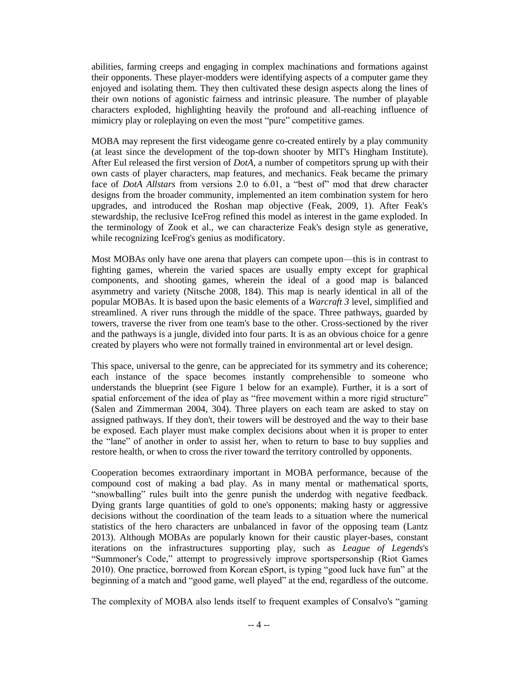abilities, farming creeps and engaging in complex machinations and formations against their opponents. These player-modders were identifying aspects of a computer game they enjoyed and isolating them. They then cultivated these design aspects along the lines of their own notions of agonistic fairness and intrinsic pleasure. The number of playable characters exploded, highlighting heavily the profound and all-reaching influence of mimicry play or roleplaying on even the most "pure" competitive games.

MOBA may represent the first videogame genre co-created entirely by a play community (at least since the development of the top-down shooter by MIT's Hingham Institute). After Eul released the first version of *DotA*, a number of competitors sprung up with their own casts of player characters, map features, and mechanics. Feak became the primary face of *DotA Allstars* from versions 2.0 to 6.01, a "best of" mod that drew character designs from the broader community, implemented an item combination system for hero upgrades, and introduced the Roshan map objective (Feak, 2009, 1). After Feak's stewardship, the reclusive IceFrog refined this model as interest in the game exploded. In the terminology of Zook et al., we can characterize Feak's design style as generative, while recognizing IceFrog's genius as modificatory.

Most MOBAs only have one arena that players can compete upon—this is in contrast to fighting games, wherein the varied spaces are usually empty except for graphical components, and shooting games, wherein the ideal of a good map is balanced asymmetry and variety (Nitsche 2008, 184). This map is nearly identical in all of the popular MOBAs. It is based upon the basic elements of a *Warcraft 3* level, simplified and streamlined. A river runs through the middle of the space. Three pathways, guarded by towers, traverse the river from one team's base to the other. Cross-sectioned by the river and the pathways is a jungle, divided into four parts. It is as an obvious choice for a genre created by players who were not formally trained in environmental art or level design.

This space, universal to the genre, can be appreciated for its symmetry and its coherence; each instance of the space becomes instantly comprehensible to someone who understands the blueprint (see Figure 1 below for an example). Further, it is a sort of spatial enforcement of the idea of play as "free movement within a more rigid structure" (Salen and Zimmerman 2004, 304). Three players on each team are asked to stay on assigned pathways. If they don't, their towers will be destroyed and the way to their base be exposed. Each player must make complex decisions about when it is proper to enter the "lane" of another in order to assist her, when to return to base to buy supplies and restore health, or when to cross the river toward the territory controlled by opponents.

Cooperation becomes extraordinary important in MOBA performance, because of the compound cost of making a bad play. As in many mental or mathematical sports, "snowballing" rules built into the genre punish the underdog with negative feedback. Dying grants large quantities of gold to one's opponents; making hasty or aggressive decisions without the coordination of the team leads to a situation where the numerical statistics of the hero characters are unbalanced in favor of the opposing team (Lantz 2013). Although MOBAs are popularly known for their caustic player-bases, constant iterations on the infrastructures supporting play, such as *League of Legends*'s "Summoner's Code," attempt to progressively improve sportspersonship (Riot Games 2010). One practice, borrowed from Korean eSport, is typing "good luck have fun" at the beginning of a match and "good game, well played" at the end, regardless of the outcome.

The complexity of MOBA also lends itself to frequent examples of Consalvo's "gaming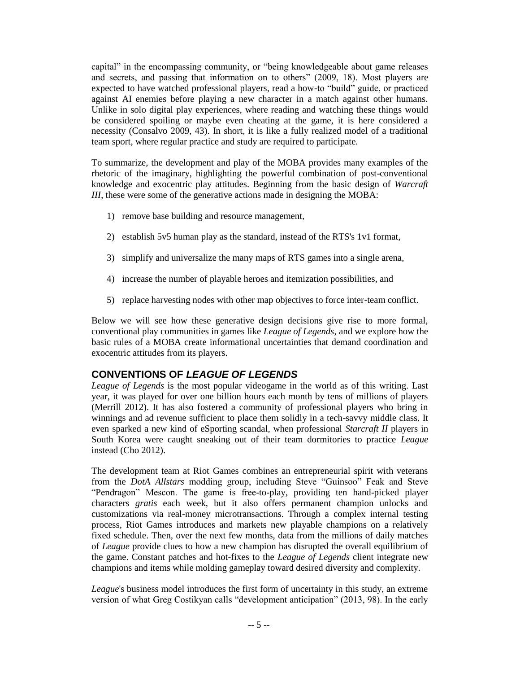capital" in the encompassing community, or "being knowledgeable about game releases and secrets, and passing that information on to others" (2009, 18). Most players are expected to have watched professional players, read a how-to "build" guide, or practiced against AI enemies before playing a new character in a match against other humans. Unlike in solo digital play experiences, where reading and watching these things would be considered spoiling or maybe even cheating at the game, it is here considered a necessity (Consalvo 2009, 43). In short, it is like a fully realized model of a traditional team sport, where regular practice and study are required to participate.

To summarize, the development and play of the MOBA provides many examples of the rhetoric of the imaginary, highlighting the powerful combination of post-conventional knowledge and exocentric play attitudes. Beginning from the basic design of *Warcraft III*, these were some of the generative actions made in designing the MOBA:

- 1) remove base building and resource management,
- 2) establish 5v5 human play as the standard, instead of the RTS's 1v1 format,
- 3) simplify and universalize the many maps of RTS games into a single arena,
- 4) increase the number of playable heroes and itemization possibilities, and
- 5) replace harvesting nodes with other map objectives to force inter-team conflict.

Below we will see how these generative design decisions give rise to more formal, conventional play communities in games like *League of Legends*, and we explore how the basic rules of a MOBA create informational uncertainties that demand coordination and exocentric attitudes from its players.

## **CONVENTIONS OF** *LEAGUE OF LEGENDS*

*League of Legends* is the most popular videogame in the world as of this writing. Last year, it was played for over one billion hours each month by tens of millions of players (Merrill 2012). It has also fostered a community of professional players who bring in winnings and ad revenue sufficient to place them solidly in a tech-savvy middle class. It even sparked a new kind of eSporting scandal, when professional *Starcraft II* players in South Korea were caught sneaking out of their team dormitories to practice *League* instead (Cho 2012).

The development team at Riot Games combines an entrepreneurial spirit with veterans from the *DotA Allstars* modding group, including Steve "Guinsoo" Feak and Steve "Pendragon" Mescon. The game is free-to-play, providing ten hand-picked player characters *gratis* each week, but it also offers permanent champion unlocks and customizations via real-money microtransactions. Through a complex internal testing process, Riot Games introduces and markets new playable champions on a relatively fixed schedule. Then, over the next few months, data from the millions of daily matches of *League* provide clues to how a new champion has disrupted the overall equilibrium of the game. Constant patches and hot-fixes to the *League of Legends* client integrate new champions and items while molding gameplay toward desired diversity and complexity.

*League*'s business model introduces the first form of uncertainty in this study, an extreme version of what Greg Costikyan calls "development anticipation" (2013, 98). In the early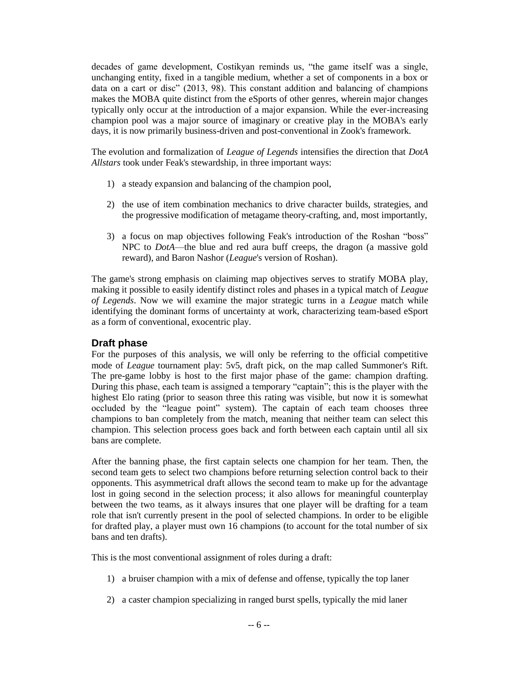decades of game development, Costikyan reminds us, "the game itself was a single, unchanging entity, fixed in a tangible medium, whether a set of components in a box or data on a cart or disc" (2013, 98). This constant addition and balancing of champions makes the MOBA quite distinct from the eSports of other genres, wherein major changes typically only occur at the introduction of a major expansion. While the ever-increasing champion pool was a major source of imaginary or creative play in the MOBA's early days, it is now primarily business-driven and post-conventional in Zook's framework.

The evolution and formalization of *League of Legends* intensifies the direction that *DotA Allstars* took under Feak's stewardship, in three important ways:

- 1) a steady expansion and balancing of the champion pool,
- 2) the use of item combination mechanics to drive character builds, strategies, and the progressive modification of metagame theory-crafting, and, most importantly,
- 3) a focus on map objectives following Feak's introduction of the Roshan "boss" NPC to *DotA*—the blue and red aura buff creeps, the dragon (a massive gold reward), and Baron Nashor (*League*'s version of Roshan).

The game's strong emphasis on claiming map objectives serves to stratify MOBA play, making it possible to easily identify distinct roles and phases in a typical match of *League of Legends*. Now we will examine the major strategic turns in a *League* match while identifying the dominant forms of uncertainty at work, characterizing team-based eSport as a form of conventional, exocentric play.

## **Draft phase**

For the purposes of this analysis, we will only be referring to the official competitive mode of *League* tournament play: 5v5, draft pick, on the map called Summoner's Rift. The pre-game lobby is host to the first major phase of the game: champion drafting. During this phase, each team is assigned a temporary "captain"; this is the player with the highest Elo rating (prior to season three this rating was visible, but now it is somewhat occluded by the "league point" system). The captain of each team chooses three champions to ban completely from the match, meaning that neither team can select this champion. This selection process goes back and forth between each captain until all six bans are complete.

After the banning phase, the first captain selects one champion for her team. Then, the second team gets to select two champions before returning selection control back to their opponents. This asymmetrical draft allows the second team to make up for the advantage lost in going second in the selection process; it also allows for meaningful counterplay between the two teams, as it always insures that one player will be drafting for a team role that isn't currently present in the pool of selected champions. In order to be eligible for drafted play, a player must own 16 champions (to account for the total number of six bans and ten drafts).

This is the most conventional assignment of roles during a draft:

- 1) a bruiser champion with a mix of defense and offense, typically the top laner
- 2) a caster champion specializing in ranged burst spells, typically the mid laner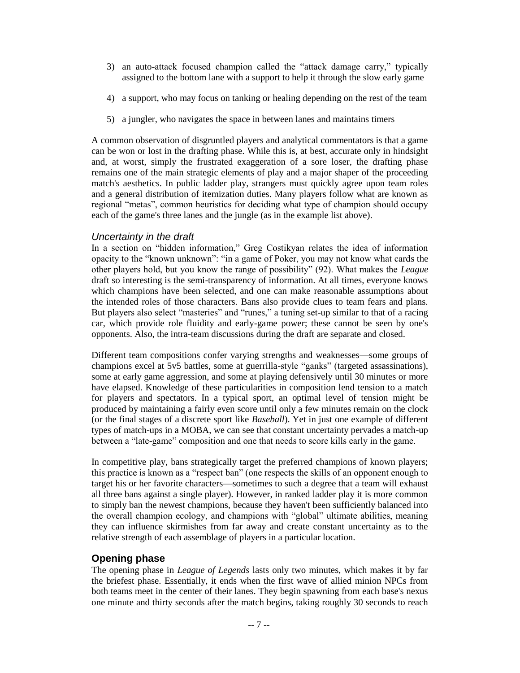- 3) an auto-attack focused champion called the "attack damage carry," typically assigned to the bottom lane with a support to help it through the slow early game
- 4) a support, who may focus on tanking or healing depending on the rest of the team
- 5) a jungler, who navigates the space in between lanes and maintains timers

A common observation of disgruntled players and analytical commentators is that a game can be won or lost in the drafting phase. While this is, at best, accurate only in hindsight and, at worst, simply the frustrated exaggeration of a sore loser, the drafting phase remains one of the main strategic elements of play and a major shaper of the proceeding match's aesthetics. In public ladder play, strangers must quickly agree upon team roles and a general distribution of itemization duties. Many players follow what are known as regional "metas", common heuristics for deciding what type of champion should occupy each of the game's three lanes and the jungle (as in the example list above).

## *Uncertainty in the draft*

In a section on "hidden information," Greg Costikyan relates the idea of information opacity to the "known unknown": "in a game of Poker, you may not know what cards the other players hold, but you know the range of possibility" (92). What makes the *League* draft so interesting is the semi-transparency of information. At all times, everyone knows which champions have been selected, and one can make reasonable assumptions about the intended roles of those characters. Bans also provide clues to team fears and plans. But players also select "masteries" and "runes," a tuning set-up similar to that of a racing car, which provide role fluidity and early-game power; these cannot be seen by one's opponents. Also, the intra-team discussions during the draft are separate and closed.

Different team compositions confer varying strengths and weaknesses—some groups of champions excel at 5v5 battles, some at guerrilla-style "ganks" (targeted assassinations), some at early game aggression, and some at playing defensively until 30 minutes or more have elapsed. Knowledge of these particularities in composition lend tension to a match for players and spectators. In a typical sport, an optimal level of tension might be produced by maintaining a fairly even score until only a few minutes remain on the clock (or the final stages of a discrete sport like *Baseball*). Yet in just one example of different types of match-ups in a MOBA, we can see that constant uncertainty pervades a match-up between a "late-game" composition and one that needs to score kills early in the game.

In competitive play, bans strategically target the preferred champions of known players; this practice is known as a "respect ban" (one respects the skills of an opponent enough to target his or her favorite characters—sometimes to such a degree that a team will exhaust all three bans against a single player). However, in ranked ladder play it is more common to simply ban the newest champions, because they haven't been sufficiently balanced into the overall champion ecology, and champions with "global" ultimate abilities, meaning they can influence skirmishes from far away and create constant uncertainty as to the relative strength of each assemblage of players in a particular location.

## **Opening phase**

The opening phase in *League of Legends* lasts only two minutes, which makes it by far the briefest phase. Essentially, it ends when the first wave of allied minion NPCs from both teams meet in the center of their lanes. They begin spawning from each base's nexus one minute and thirty seconds after the match begins, taking roughly 30 seconds to reach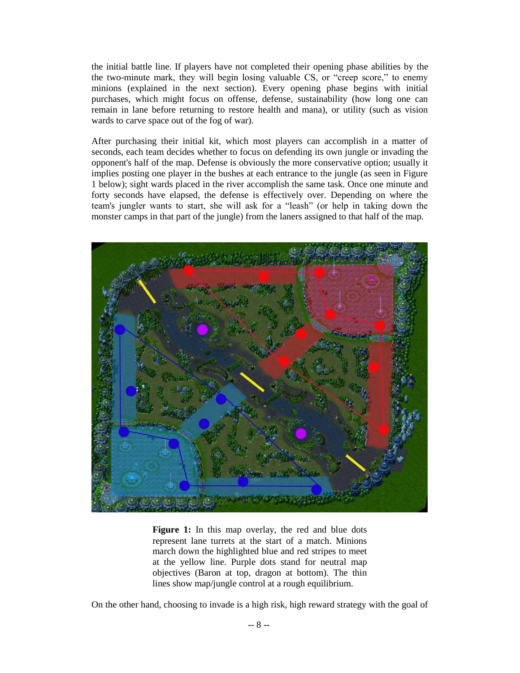the initial battle line. If players have not completed their opening phase abilities by the the two-minute mark, they will begin losing valuable CS, or "creep score," to enemy minions (explained in the next section). Every opening phase begins with initial purchases, which might focus on offense, defense, sustainability (how long one can remain in lane before returning to restore health and mana), or utility (such as vision wards to carve space out of the fog of war).

After purchasing their initial kit, which most players can accomplish in a matter of seconds, each team decides whether to focus on defending its own jungle or invading the opponent's half of the map. Defense is obviously the more conservative option; usually it implies posting one player in the bushes at each entrance to the jungle (as seen in Figure 1 below); sight wards placed in the river accomplish the same task. Once one minute and forty seconds have elapsed, the defense is effectively over. Depending on where the team's jungler wants to start, she will ask for a "leash" (or help in taking down the monster camps in that part of the jungle) from the laners assigned to that half of the map.



Figure 1: In this map overlay, the red and blue dots represent lane turrets at the start of a match. Minions march down the highlighted blue and red stripes to meet at the yellow line. Purple dots stand for neutral map objectives (Baron at top, dragon at bottom). The thin lines show map/jungle control at a rough equilibrium.

On the other hand, choosing to invade is a high risk, high reward strategy with the goal of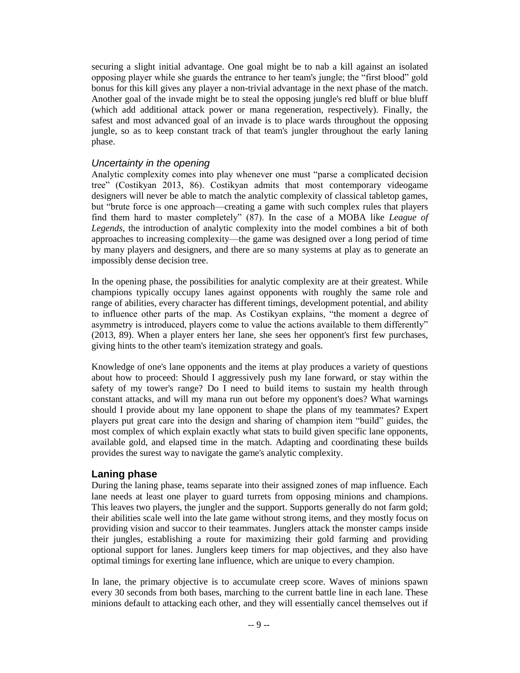securing a slight initial advantage. One goal might be to nab a kill against an isolated opposing player while she guards the entrance to her team's jungle; the "first blood" gold bonus for this kill gives any player a non-trivial advantage in the next phase of the match. Another goal of the invade might be to steal the opposing jungle's red bluff or blue bluff (which add additional attack power or mana regeneration, respectively). Finally, the safest and most advanced goal of an invade is to place wards throughout the opposing jungle, so as to keep constant track of that team's jungler throughout the early laning phase.

## *Uncertainty in the opening*

Analytic complexity comes into play whenever one must "parse a complicated decision tree" (Costikyan 2013, 86). Costikyan admits that most contemporary videogame designers will never be able to match the analytic complexity of classical tabletop games, but "brute force is one approach—creating a game with such complex rules that players find them hard to master completely" (87). In the case of a MOBA like *League of Legends*, the introduction of analytic complexity into the model combines a bit of both approaches to increasing complexity—the game was designed over a long period of time by many players and designers, and there are so many systems at play as to generate an impossibly dense decision tree.

In the opening phase, the possibilities for analytic complexity are at their greatest. While champions typically occupy lanes against opponents with roughly the same role and range of abilities, every character has different timings, development potential, and ability to influence other parts of the map. As Costikyan explains, "the moment a degree of asymmetry is introduced, players come to value the actions available to them differently" (2013, 89). When a player enters her lane, she sees her opponent's first few purchases, giving hints to the other team's itemization strategy and goals.

Knowledge of one's lane opponents and the items at play produces a variety of questions about how to proceed: Should I aggressively push my lane forward, or stay within the safety of my tower's range? Do I need to build items to sustain my health through constant attacks, and will my mana run out before my opponent's does? What warnings should I provide about my lane opponent to shape the plans of my teammates? Expert players put great care into the design and sharing of champion item "build" guides, the most complex of which explain exactly what stats to build given specific lane opponents, available gold, and elapsed time in the match. Adapting and coordinating these builds provides the surest way to navigate the game's analytic complexity.

## **Laning phase**

During the laning phase, teams separate into their assigned zones of map influence. Each lane needs at least one player to guard turrets from opposing minions and champions. This leaves two players, the jungler and the support. Supports generally do not farm gold; their abilities scale well into the late game without strong items, and they mostly focus on providing vision and succor to their teammates. Junglers attack the monster camps inside their jungles, establishing a route for maximizing their gold farming and providing optional support for lanes. Junglers keep timers for map objectives, and they also have optimal timings for exerting lane influence, which are unique to every champion.

In lane, the primary objective is to accumulate creep score. Waves of minions spawn every 30 seconds from both bases, marching to the current battle line in each lane. These minions default to attacking each other, and they will essentially cancel themselves out if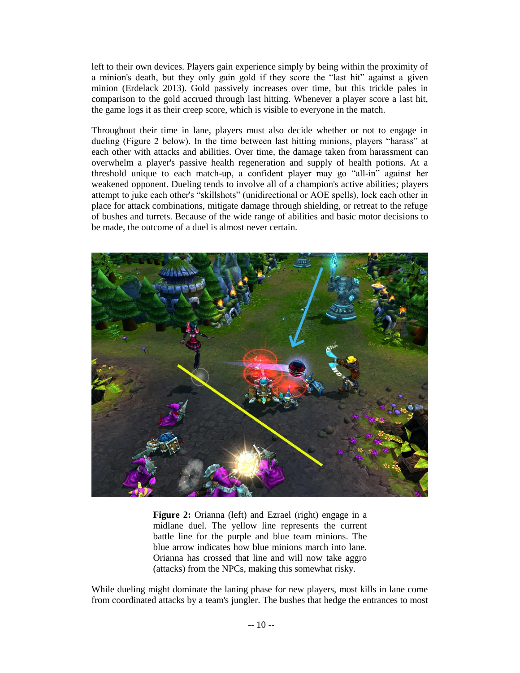left to their own devices. Players gain experience simply by being within the proximity of a minion's death, but they only gain gold if they score the "last hit" against a given minion (Erdelack 2013). Gold passively increases over time, but this trickle pales in comparison to the gold accrued through last hitting. Whenever a player score a last hit, the game logs it as their creep score, which is visible to everyone in the match.

Throughout their time in lane, players must also decide whether or not to engage in dueling (Figure 2 below). In the time between last hitting minions, players "harass" at each other with attacks and abilities. Over time, the damage taken from harassment can overwhelm a player's passive health regeneration and supply of health potions. At a threshold unique to each match-up, a confident player may go "all-in" against her weakened opponent. Dueling tends to involve all of a champion's active abilities; players attempt to juke each other's "skillshots" (unidirectional or AOE spells), lock each other in place for attack combinations, mitigate damage through shielding, or retreat to the refuge of bushes and turrets. Because of the wide range of abilities and basic motor decisions to be made, the outcome of a duel is almost never certain.



Figure 2: Orianna (left) and Ezrael (right) engage in a midlane duel. The yellow line represents the current battle line for the purple and blue team minions. The blue arrow indicates how blue minions march into lane. Orianna has crossed that line and will now take aggro (attacks) from the NPCs, making this somewhat risky.

While dueling might dominate the laning phase for new players, most kills in lane come from coordinated attacks by a team's jungler. The bushes that hedge the entrances to most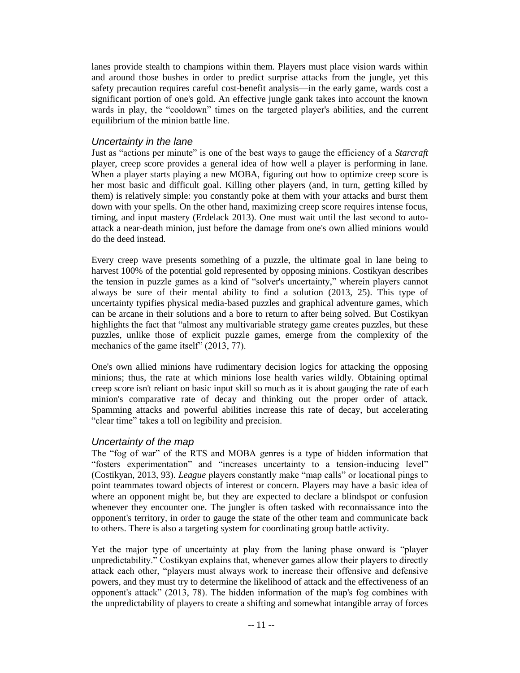lanes provide stealth to champions within them. Players must place vision wards within and around those bushes in order to predict surprise attacks from the jungle, yet this safety precaution requires careful cost-benefit analysis—in the early game, wards cost a significant portion of one's gold. An effective jungle gank takes into account the known wards in play, the "cooldown" times on the targeted player's abilities, and the current equilibrium of the minion battle line.

#### *Uncertainty in the lane*

Just as "actions per minute" is one of the best ways to gauge the efficiency of a *Starcraft* player, creep score provides a general idea of how well a player is performing in lane. When a player starts playing a new MOBA, figuring out how to optimize creep score is her most basic and difficult goal. Killing other players (and, in turn, getting killed by them) is relatively simple: you constantly poke at them with your attacks and burst them down with your spells. On the other hand, maximizing creep score requires intense focus, timing, and input mastery (Erdelack 2013). One must wait until the last second to autoattack a near-death minion, just before the damage from one's own allied minions would do the deed instead.

Every creep wave presents something of a puzzle, the ultimate goal in lane being to harvest 100% of the potential gold represented by opposing minions. Costikyan describes the tension in puzzle games as a kind of "solver's uncertainty," wherein players cannot always be sure of their mental ability to find a solution (2013, 25). This type of uncertainty typifies physical media-based puzzles and graphical adventure games, which can be arcane in their solutions and a bore to return to after being solved. But Costikyan highlights the fact that "almost any multivariable strategy game creates puzzles, but these puzzles, unlike those of explicit puzzle games, emerge from the complexity of the mechanics of the game itself" (2013, 77).

One's own allied minions have rudimentary decision logics for attacking the opposing minions; thus, the rate at which minions lose health varies wildly. Obtaining optimal creep score isn't reliant on basic input skill so much as it is about gauging the rate of each minion's comparative rate of decay and thinking out the proper order of attack. Spamming attacks and powerful abilities increase this rate of decay, but accelerating "clear time" takes a toll on legibility and precision.

## *Uncertainty of the map*

The "fog of war" of the RTS and MOBA genres is a type of hidden information that "fosters experimentation" and "increases uncertainty to a tension-inducing level" (Costikyan, 2013, 93). *League* players constantly make "map calls" or locational pings to point teammates toward objects of interest or concern. Players may have a basic idea of where an opponent might be, but they are expected to declare a blindspot or confusion whenever they encounter one. The jungler is often tasked with reconnaissance into the opponent's territory, in order to gauge the state of the other team and communicate back to others. There is also a targeting system for coordinating group battle activity.

Yet the major type of uncertainty at play from the laning phase onward is "player unpredictability." Costikyan explains that, whenever games allow their players to directly attack each other, "players must always work to increase their offensive and defensive powers, and they must try to determine the likelihood of attack and the effectiveness of an opponent's attack" (2013, 78). The hidden information of the map's fog combines with the unpredictability of players to create a shifting and somewhat intangible array of forces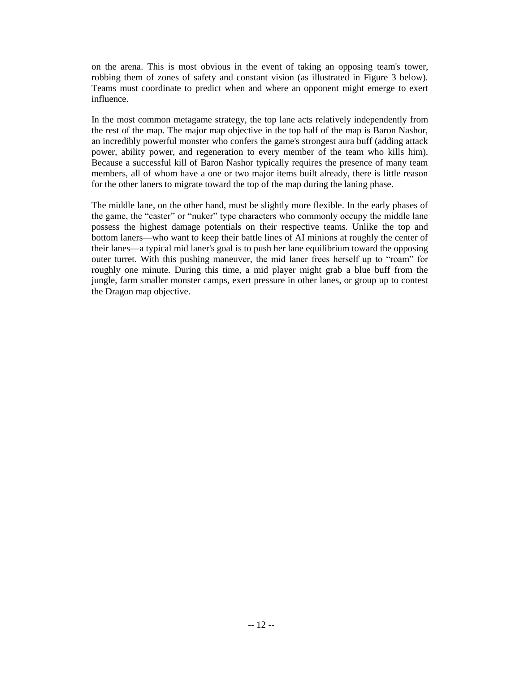on the arena. This is most obvious in the event of taking an opposing team's tower, robbing them of zones of safety and constant vision (as illustrated in Figure 3 below). Teams must coordinate to predict when and where an opponent might emerge to exert influence.

In the most common metagame strategy, the top lane acts relatively independently from the rest of the map. The major map objective in the top half of the map is Baron Nashor, an incredibly powerful monster who confers the game's strongest aura buff (adding attack power, ability power, and regeneration to every member of the team who kills him). Because a successful kill of Baron Nashor typically requires the presence of many team members, all of whom have a one or two major items built already, there is little reason for the other laners to migrate toward the top of the map during the laning phase.

The middle lane, on the other hand, must be slightly more flexible. In the early phases of the game, the "caster" or "nuker" type characters who commonly occupy the middle lane possess the highest damage potentials on their respective teams. Unlike the top and bottom laners—who want to keep their battle lines of AI minions at roughly the center of their lanes—a typical mid laner's goal is to push her lane equilibrium toward the opposing outer turret. With this pushing maneuver, the mid laner frees herself up to "roam" for roughly one minute. During this time, a mid player might grab a blue buff from the jungle, farm smaller monster camps, exert pressure in other lanes, or group up to contest the Dragon map objective.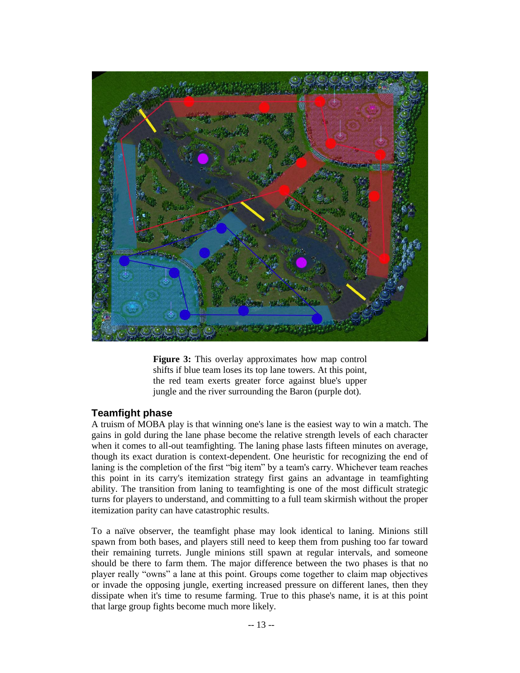

**Figure 3:** This overlay approximates how map control shifts if blue team loses its top lane towers. At this point, the red team exerts greater force against blue's upper jungle and the river surrounding the Baron (purple dot).

## **Teamfight phase**

A truism of MOBA play is that winning one's lane is the easiest way to win a match. The gains in gold during the lane phase become the relative strength levels of each character when it comes to all-out teamfighting. The laning phase lasts fifteen minutes on average, though its exact duration is context-dependent. One heuristic for recognizing the end of laning is the completion of the first "big item" by a team's carry. Whichever team reaches this point in its carry's itemization strategy first gains an advantage in teamfighting ability. The transition from laning to teamfighting is one of the most difficult strategic turns for players to understand, and committing to a full team skirmish without the proper itemization parity can have catastrophic results.

To a naïve observer, the teamfight phase may look identical to laning. Minions still spawn from both bases, and players still need to keep them from pushing too far toward their remaining turrets. Jungle minions still spawn at regular intervals, and someone should be there to farm them. The major difference between the two phases is that no player really "owns" a lane at this point. Groups come together to claim map objectives or invade the opposing jungle, exerting increased pressure on different lanes, then they dissipate when it's time to resume farming. True to this phase's name, it is at this point that large group fights become much more likely.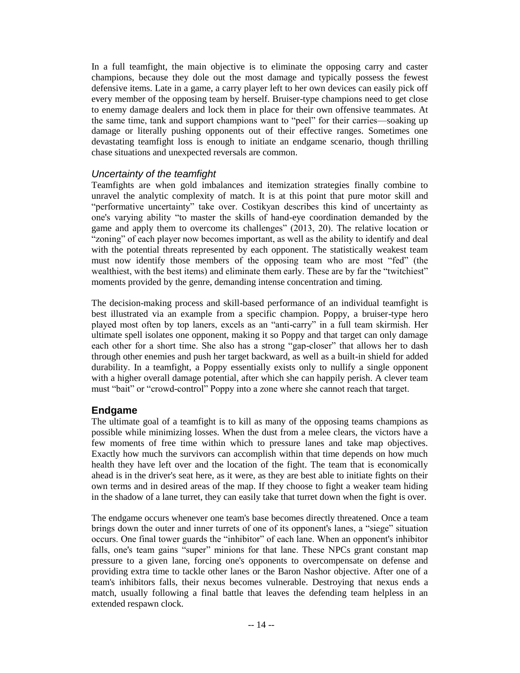In a full teamfight, the main objective is to eliminate the opposing carry and caster champions, because they dole out the most damage and typically possess the fewest defensive items. Late in a game, a carry player left to her own devices can easily pick off every member of the opposing team by herself. Bruiser-type champions need to get close to enemy damage dealers and lock them in place for their own offensive teammates. At the same time, tank and support champions want to "peel" for their carries—soaking up damage or literally pushing opponents out of their effective ranges. Sometimes one devastating teamfight loss is enough to initiate an endgame scenario, though thrilling chase situations and unexpected reversals are common.

## *Uncertainty of the teamfight*

Teamfights are when gold imbalances and itemization strategies finally combine to unravel the analytic complexity of match. It is at this point that pure motor skill and "performative uncertainty" take over. Costikyan describes this kind of uncertainty as one's varying ability "to master the skills of hand-eye coordination demanded by the game and apply them to overcome its challenges" (2013, 20). The relative location or "zoning" of each player now becomes important, as well as the ability to identify and deal with the potential threats represented by each opponent. The statistically weakest team must now identify those members of the opposing team who are most "fed" (the wealthiest, with the best items) and eliminate them early. These are by far the "twitchiest" moments provided by the genre, demanding intense concentration and timing.

The decision-making process and skill-based performance of an individual teamfight is best illustrated via an example from a specific champion. Poppy, a bruiser-type hero played most often by top laners, excels as an "anti-carry" in a full team skirmish. Her ultimate spell isolates one opponent, making it so Poppy and that target can only damage each other for a short time. She also has a strong "gap-closer" that allows her to dash through other enemies and push her target backward, as well as a built-in shield for added durability. In a teamfight, a Poppy essentially exists only to nullify a single opponent with a higher overall damage potential, after which she can happily perish. A clever team must "bait" or "crowd-control" Poppy into a zone where she cannot reach that target.

## **Endgame**

The ultimate goal of a teamfight is to kill as many of the opposing teams champions as possible while minimizing losses. When the dust from a melee clears, the victors have a few moments of free time within which to pressure lanes and take map objectives. Exactly how much the survivors can accomplish within that time depends on how much health they have left over and the location of the fight. The team that is economically ahead is in the driver's seat here, as it were, as they are best able to initiate fights on their own terms and in desired areas of the map. If they choose to fight a weaker team hiding in the shadow of a lane turret, they can easily take that turret down when the fight is over.

The endgame occurs whenever one team's base becomes directly threatened. Once a team brings down the outer and inner turrets of one of its opponent's lanes, a "siege" situation occurs. One final tower guards the "inhibitor" of each lane. When an opponent's inhibitor falls, one's team gains "super" minions for that lane. These NPCs grant constant map pressure to a given lane, forcing one's opponents to overcompensate on defense and providing extra time to tackle other lanes or the Baron Nashor objective. After one of a team's inhibitors falls, their nexus becomes vulnerable. Destroying that nexus ends a match, usually following a final battle that leaves the defending team helpless in an extended respawn clock.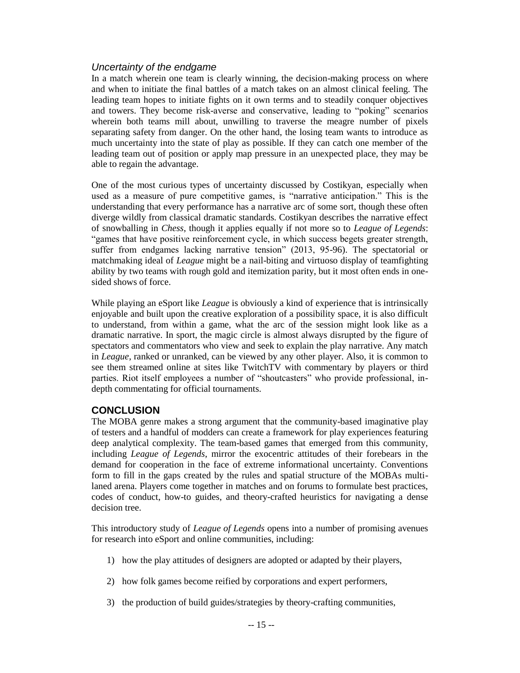## *Uncertainty of the endgame*

In a match wherein one team is clearly winning, the decision-making process on where and when to initiate the final battles of a match takes on an almost clinical feeling. The leading team hopes to initiate fights on it own terms and to steadily conquer objectives and towers. They become risk-averse and conservative, leading to "poking" scenarios wherein both teams mill about, unwilling to traverse the meagre number of pixels separating safety from danger. On the other hand, the losing team wants to introduce as much uncertainty into the state of play as possible. If they can catch one member of the leading team out of position or apply map pressure in an unexpected place, they may be able to regain the advantage.

One of the most curious types of uncertainty discussed by Costikyan, especially when used as a measure of pure competitive games, is "narrative anticipation." This is the understanding that every performance has a narrative arc of some sort, though these often diverge wildly from classical dramatic standards. Costikyan describes the narrative effect of snowballing in *Chess*, though it applies equally if not more so to *League of Legends*: "games that have positive reinforcement cycle, in which success begets greater strength, suffer from endgames lacking narrative tension" (2013, 95-96). The spectatorial or matchmaking ideal of *League* might be a nail-biting and virtuoso display of teamfighting ability by two teams with rough gold and itemization parity, but it most often ends in onesided shows of force.

While playing an eSport like *League* is obviously a kind of experience that is intrinsically enjoyable and built upon the creative exploration of a possibility space, it is also difficult to understand, from within a game, what the arc of the session might look like as a dramatic narrative. In sport, the magic circle is almost always disrupted by the figure of spectators and commentators who view and seek to explain the play narrative. Any match in *League*, ranked or unranked, can be viewed by any other player. Also, it is common to see them streamed online at sites like TwitchTV with commentary by players or third parties. Riot itself employees a number of "shoutcasters" who provide professional, indepth commentating for official tournaments.

## **CONCLUSION**

The MOBA genre makes a strong argument that the community-based imaginative play of testers and a handful of modders can create a framework for play experiences featuring deep analytical complexity. The team-based games that emerged from this community, including *League of Legends*, mirror the exocentric attitudes of their forebears in the demand for cooperation in the face of extreme informational uncertainty. Conventions form to fill in the gaps created by the rules and spatial structure of the MOBAs multilaned arena. Players come together in matches and on forums to formulate best practices, codes of conduct, how-to guides, and theory-crafted heuristics for navigating a dense decision tree.

This introductory study of *League of Legends* opens into a number of promising avenues for research into eSport and online communities, including:

- 1) how the play attitudes of designers are adopted or adapted by their players,
- 2) how folk games become reified by corporations and expert performers,
- 3) the production of build guides/strategies by theory-crafting communities,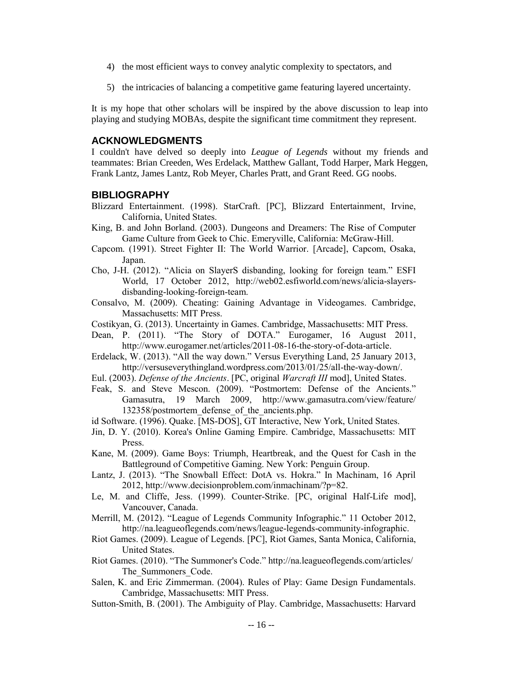- 4) the most efficient ways to convey analytic complexity to spectators, and
- 5) the intricacies of balancing a competitive game featuring layered uncertainty.

It is my hope that other scholars will be inspired by the above discussion to leap into playing and studying MOBAs, despite the significant time commitment they represent.

#### **ACKNOWLEDGMENTS**

I couldn't have delved so deeply into *League of Legends* without my friends and teammates: Brian Creeden, Wes Erdelack, Matthew Gallant, Todd Harper, Mark Heggen, Frank Lantz, James Lantz, Rob Meyer, Charles Pratt, and Grant Reed. GG noobs.

#### **BIBLIOGRAPHY**

- Blizzard Entertainment. (1998). StarCraft. [PC], Blizzard Entertainment, Irvine, California, United States.
- King, B. and John Borland. (2003). Dungeons and Dreamers: The Rise of Computer Game Culture from Geek to Chic. Emeryville, California: McGraw-Hill.
- Capcom. (1991). Street Fighter II: The World Warrior. [Arcade], Capcom, Osaka, Japan.
- Cho, J-H. (2012). "Alicia on SlayerS disbanding, looking for foreign team." ESFI World, 17 October 2012, http://web02.esfiworld.com/news/alicia-slayersdisbanding-looking-foreign-team.
- Consalvo, M. (2009). Cheating: Gaining Advantage in Videogames. Cambridge, Massachusetts: MIT Press.
- Costikyan, G. (2013). Uncertainty in Games. Cambridge, Massachusetts: MIT Press.
- Dean, P. (2011). "The Story of DOTA." Eurogamer, 16 August 2011, http://www.eurogamer.net/articles/2011-08-16-the-story-of-dota-article.
- Erdelack, W. (2013). "All the way down." Versus Everything Land, 25 January 2013, http://versuseverythingland.wordpress.com/2013/01/25/all-the-way-down/.
- Eul. (2003). *Defense of the Ancients*. [PC, original *Warcraft III* mod], United States.
- Feak, S. and Steve Mescon. (2009). "Postmortem: Defense of the Ancients." Gamasutra, 19 March 2009, http://www.gamasutra.com/view/feature/ 132358/postmortem\_defense\_of\_the\_ancients.php.
- id Software. (1996). Quake. [MS-DOS], GT Interactive, New York, United States.
- Jin, D. Y. (2010). Korea's Online Gaming Empire. Cambridge, Massachusetts: MIT Press.
- Kane, M. (2009). Game Boys: Triumph, Heartbreak, and the Quest for Cash in the Battleground of Competitive Gaming. New York: Penguin Group.
- Lantz, J. (2013). "The Snowball Effect: DotA vs. Hokra." In Machinam, 16 April 2012, http://www.decisionproblem.com/inmachinam/?p=82.
- Le, M. and Cliffe, Jess. (1999). Counter-Strike. [PC, original Half-Life mod], Vancouver, Canada.
- Merrill, M. (2012). "League of Legends Community Infographic." 11 October 2012, http://na.leagueoflegends.com/news/league-legends-community-infographic.
- Riot Games. (2009). League of Legends. [PC], Riot Games, Santa Monica, California, United States.
- Riot Games. (2010). "The Summoner's Code." http://na.leagueoflegends.com/articles/ The Summoners Code.
- Salen, K. and Eric Zimmerman. (2004). Rules of Play: Game Design Fundamentals. Cambridge, Massachusetts: MIT Press.
- Sutton-Smith, B. (2001). The Ambiguity of Play. Cambridge, Massachusetts: Harvard